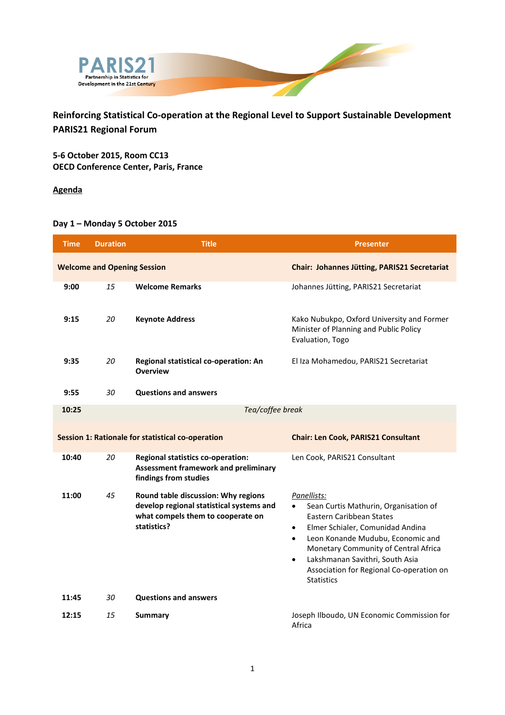

**Reinforcing Statistical Co-operation at the Regional Level to Support Sustainable Development PARIS21 Regional Forum**

**5-6 October 2015, Room CC13 OECD Conference Center, Paris, France**

**Agenda**

## **Day 1 – Monday 5 October 2015**

| <b>Time</b>                                       | <b>Duration</b>                    | <b>Title</b>                                                                                                                        | <b>Presenter</b>                                                                                                                                                                                                                                                                                                                                                 |
|---------------------------------------------------|------------------------------------|-------------------------------------------------------------------------------------------------------------------------------------|------------------------------------------------------------------------------------------------------------------------------------------------------------------------------------------------------------------------------------------------------------------------------------------------------------------------------------------------------------------|
|                                                   | <b>Welcome and Opening Session</b> |                                                                                                                                     | Chair: Johannes Jütting, PARIS21 Secretariat                                                                                                                                                                                                                                                                                                                     |
| 9:00                                              | 15                                 | <b>Welcome Remarks</b>                                                                                                              | Johannes Jütting, PARIS21 Secretariat                                                                                                                                                                                                                                                                                                                            |
| 9:15                                              | 20                                 | <b>Keynote Address</b>                                                                                                              | Kako Nubukpo, Oxford University and Former<br>Minister of Planning and Public Policy<br>Evaluation, Togo                                                                                                                                                                                                                                                         |
| 9:35                                              | 20                                 | Regional statistical co-operation: An<br><b>Overview</b>                                                                            | El Iza Mohamedou, PARIS21 Secretariat                                                                                                                                                                                                                                                                                                                            |
| 9:55                                              | 30                                 | <b>Questions and answers</b>                                                                                                        |                                                                                                                                                                                                                                                                                                                                                                  |
| 10:25                                             |                                    | Tea/coffee break                                                                                                                    |                                                                                                                                                                                                                                                                                                                                                                  |
| Session 1: Rationale for statistical co-operation |                                    |                                                                                                                                     | <b>Chair: Len Cook, PARIS21 Consultant</b>                                                                                                                                                                                                                                                                                                                       |
| 10:40                                             | 20                                 | <b>Regional statistics co-operation:</b><br><b>Assessment framework and preliminary</b><br>findings from studies                    | Len Cook, PARIS21 Consultant                                                                                                                                                                                                                                                                                                                                     |
| 11:00                                             | 45                                 | Round table discussion: Why regions<br>develop regional statistical systems and<br>what compels them to cooperate on<br>statistics? | Panellists:<br>Sean Curtis Mathurin, Organisation of<br>$\bullet$<br><b>Eastern Caribbean States</b><br>Elmer Schialer, Comunidad Andina<br>$\bullet$<br>Leon Konande Mudubu, Economic and<br>$\bullet$<br>Monetary Community of Central Africa<br>Lakshmanan Savithri, South Asia<br>$\bullet$<br>Association for Regional Co-operation on<br><b>Statistics</b> |
| 11:45                                             | 30                                 | <b>Questions and answers</b>                                                                                                        |                                                                                                                                                                                                                                                                                                                                                                  |
| 12:15                                             | 15                                 | <b>Summary</b>                                                                                                                      | Joseph Ilboudo, UN Economic Commission for<br>Africa                                                                                                                                                                                                                                                                                                             |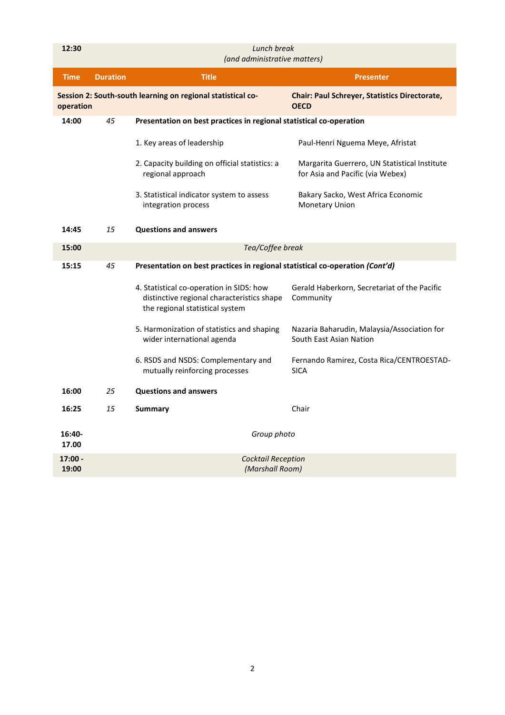| 12:30              |                 | Lunch break<br>(and administrative matters)                                                                               |                                                                                  |  |  |
|--------------------|-----------------|---------------------------------------------------------------------------------------------------------------------------|----------------------------------------------------------------------------------|--|--|
| <b>Time</b>        | <b>Duration</b> | <b>Title</b>                                                                                                              | <b>Presenter</b>                                                                 |  |  |
| operation          |                 | Session 2: South-south learning on regional statistical co-                                                               | <b>Chair: Paul Schreyer, Statistics Directorate,</b><br><b>OECD</b>              |  |  |
| 14:00              | 45              | Presentation on best practices in regional statistical co-operation                                                       |                                                                                  |  |  |
|                    |                 | 1. Key areas of leadership                                                                                                | Paul-Henri Nguema Meye, Afristat                                                 |  |  |
|                    |                 | 2. Capacity building on official statistics: a<br>regional approach                                                       | Margarita Guerrero, UN Statistical Institute<br>for Asia and Pacific (via Webex) |  |  |
|                    |                 | 3. Statistical indicator system to assess<br>integration process                                                          | Bakary Sacko, West Africa Economic<br><b>Monetary Union</b>                      |  |  |
| 14:45              | 15              | <b>Questions and answers</b>                                                                                              |                                                                                  |  |  |
| 15:00              |                 | Tea/Coffee break                                                                                                          |                                                                                  |  |  |
| 15:15              | 45              | Presentation on best practices in regional statistical co-operation (Cont'd)                                              |                                                                                  |  |  |
|                    |                 | 4. Statistical co-operation in SIDS: how<br>distinctive regional characteristics shape<br>the regional statistical system | Gerald Haberkorn, Secretariat of the Pacific<br>Community                        |  |  |
|                    |                 | 5. Harmonization of statistics and shaping<br>wider international agenda                                                  | Nazaria Baharudin, Malaysia/Association for<br>South East Asian Nation           |  |  |
|                    |                 | 6. RSDS and NSDS: Complementary and<br>mutually reinforcing processes                                                     | Fernando Ramirez, Costa Rica/CENTROESTAD-<br><b>SICA</b>                         |  |  |
| 16:00              | 25              | <b>Questions and answers</b>                                                                                              |                                                                                  |  |  |
| 16:25              | 15              | Summary                                                                                                                   | Chair                                                                            |  |  |
| 16:40-<br>17.00    |                 | Group photo                                                                                                               |                                                                                  |  |  |
| $17:00 -$<br>19:00 |                 | <b>Cocktail Reception</b><br>(Marshall Room)                                                                              |                                                                                  |  |  |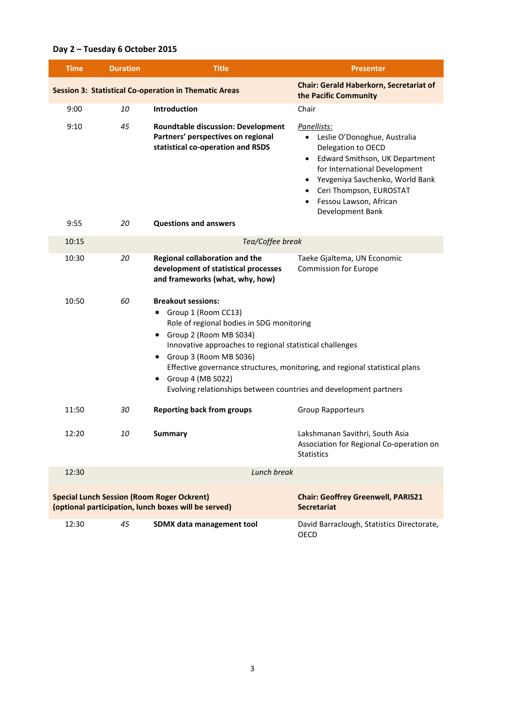## **Day 2 – Tuesday 6 October 2015**

| <b>Time</b> | <b>Duration</b> | <b>Title</b>                                                                                                                                                                                                                                                                                                                                                                                    | <b>Presenter</b>                                                                                                                                                                                                                                                                        |  |
|-------------|-----------------|-------------------------------------------------------------------------------------------------------------------------------------------------------------------------------------------------------------------------------------------------------------------------------------------------------------------------------------------------------------------------------------------------|-----------------------------------------------------------------------------------------------------------------------------------------------------------------------------------------------------------------------------------------------------------------------------------------|--|
|             |                 | <b>Session 3: Statistical Co-operation in Thematic Areas</b>                                                                                                                                                                                                                                                                                                                                    | <b>Chair: Gerald Haberkorn, Secretariat of</b><br>the Pacific Community                                                                                                                                                                                                                 |  |
| 9:00        | 10              | Introduction                                                                                                                                                                                                                                                                                                                                                                                    | Chair                                                                                                                                                                                                                                                                                   |  |
| 9:10        | 45              | <b>Roundtable discussion: Development</b><br>Partners' perspectives on regional<br>statistical co-operation and RSDS                                                                                                                                                                                                                                                                            | Panellists:<br>Leslie O'Donoghue, Australia<br>$\bullet$<br>Delegation to OECD<br>Edward Smithson, UK Department<br>$\bullet$<br>for International Development<br>Yevgeniya Savchenko, World Bank<br>Ceri Thompson, EUROSTAT<br>$\bullet$<br>Fessou Lawson, African<br>Development Bank |  |
| 9:55        | 20              | <b>Questions and answers</b>                                                                                                                                                                                                                                                                                                                                                                    |                                                                                                                                                                                                                                                                                         |  |
| 10:15       |                 | Tea/Coffee break                                                                                                                                                                                                                                                                                                                                                                                |                                                                                                                                                                                                                                                                                         |  |
| 10:30       | 20              | Regional collaboration and the<br>development of statistical processes<br>and frameworks (what, why, how)                                                                                                                                                                                                                                                                                       | Taeke Gjaltema, UN Economic<br><b>Commission for Europe</b>                                                                                                                                                                                                                             |  |
| 10:50       | 60              | <b>Breakout sessions:</b><br>• Group 1 (Room CC13)<br>Role of regional bodies in SDG monitoring<br>Group 2 (Room MB S034)<br>Innovative approaches to regional statistical challenges<br>• Group 3 (Room MB S036)<br>Effective governance structures, monitoring, and regional statistical plans<br>Group 4 (MB S022)<br>٠<br>Evolving relationships between countries and development partners |                                                                                                                                                                                                                                                                                         |  |
| 11:50       | 30              | <b>Reporting back from groups</b>                                                                                                                                                                                                                                                                                                                                                               | <b>Group Rapporteurs</b>                                                                                                                                                                                                                                                                |  |
| 12:20       | 10              | <b>Summary</b>                                                                                                                                                                                                                                                                                                                                                                                  | Lakshmanan Savithri, South Asia<br>Association for Regional Co-operation on<br><b>Statistics</b>                                                                                                                                                                                        |  |
| 12:30       |                 | Lunch break                                                                                                                                                                                                                                                                                                                                                                                     |                                                                                                                                                                                                                                                                                         |  |
|             |                 | <b>Special Lunch Session (Room Roger Ockrent)</b><br>(optional participation, lunch boxes will be served)                                                                                                                                                                                                                                                                                       | <b>Chair: Geoffrey Greenwell, PARIS21</b><br><b>Secretariat</b>                                                                                                                                                                                                                         |  |
| 12:30       | 45              | SDMX data management tool                                                                                                                                                                                                                                                                                                                                                                       | David Barraclough, Statistics Directorate,<br>OECD                                                                                                                                                                                                                                      |  |